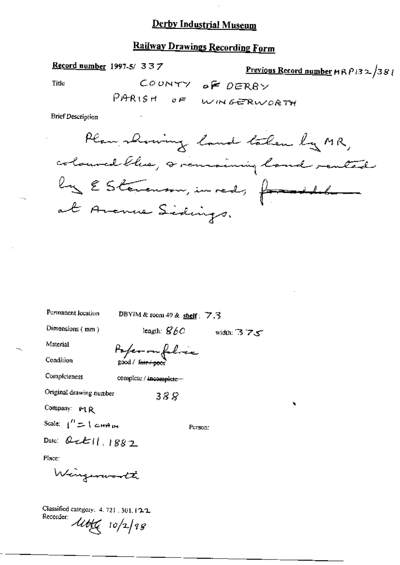### **Railway Drawings Recording Form**

Record number 1997-5/337

Previous Record number  $H \cap B \cap B \subset \big/38$ COUNTY OF DERBY

Title

PARISH OF WINGERWORTH

**Brief Description** 

Plan showing land taken by MR, coloured this, oronianing land rental by EStevenson, in red, formaller at Avenue Sidings.

| Permanent location                                                  | DBYIM & room 49 & shelf: $7.3$ |              |
|---------------------------------------------------------------------|--------------------------------|--------------|
| Dimensions (mm)                                                     | length: $S_{\mathscr{L}}$ C    | width: $375$ |
| Material                                                            | Poper on folice                |              |
| Condition                                                           | 200d / fair + poor             |              |
| Completeness                                                        | complete / incomplete-         |              |
| Original drawing number                                             | 388                            |              |
| Company: MR                                                         |                                |              |
| Scale: $1'' = 1 cmH$                                                | Person:                        |              |
| Date: $0$ tti.1882                                                  |                                |              |
| Place:                                                              |                                |              |
| Wengerworth                                                         |                                |              |
| Classified category: 4, 721, 301, 122<br>Recorder:<br>11665 10/2/98 |                                |              |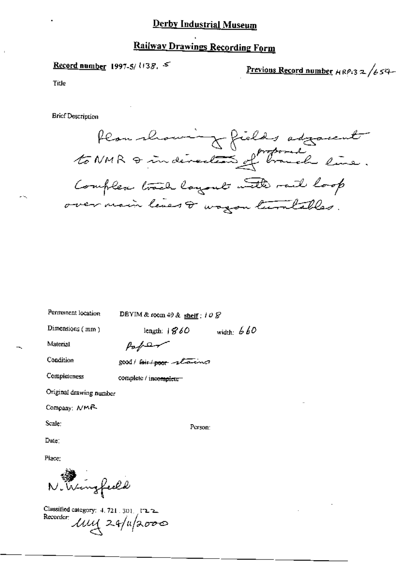### **Railway Drawings Recording Form**

Record number 1997-5/1138, 5

Previous Record number  $HRP-32/654-$ 

Title

**Brief Description** 

flan chaming fields adjacent Complex track layout with rail loop over main leases & wagon turntables.

Permanent location

DBYIM & room  $49$  & shelf :  $10$   $\overline{S}$ 

Dimensions (mm)

width  $660$ length:  $860$ 

Material

 $\rho_{\rm s}/\rho$ 

Condition

good/fair/poor stains

Completeness

complete / incomplete

Original drawing number

Company: NMR

Scale:

Person:

Date:

Place:

N. Wingfeeld

Classified category: 4, 721, 301, 122 Recorder luy 24/11/2000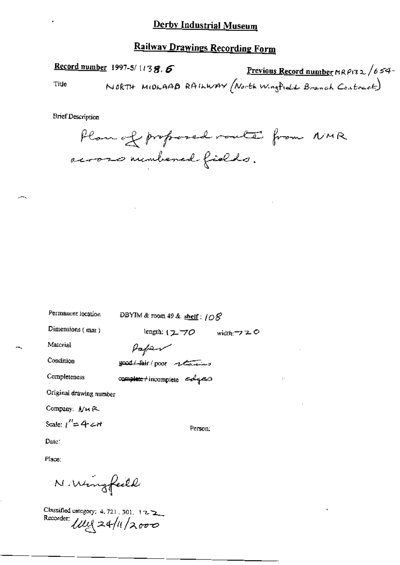Record number 1997-5/1138.6 Previous Record number MRP132 /654-NORTH MIDLAAD RAILWAY (North Wingfield Branch Contract) Title

**Brief Description** 

Plan of proposed route from NMR across mimbered fields.

| Permanent location      | DBYIM & room 49 & shelf: $108$ |                             |
|-------------------------|--------------------------------|-----------------------------|
| Dimensions (mm)         | length: $\sqrt{270}$           | width $\neg$ 2 $\heartsuit$ |
| Material                | Vafav                          |                             |
| Condition               | good/fair/poor returns         |                             |
| Completeness            | complete tincomplete edges     |                             |
| Original drawing number |                                |                             |
| Company: $N \ltimes R$  |                                |                             |

Scale:  $1'' = 4$  cH

Person:

 $\cdot$ 

Date:

Place:

N. Wingfeeld

Classified category:  $4.721$ . 301. 122 Recorder:  $11/24/11/2000$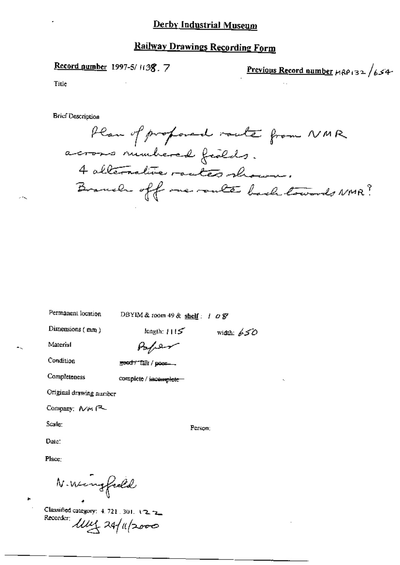### **Railway Drawings Recording Form**

### Record number 1997-5/1(38, 7

Previous Record number  $\mu$ RP132/654-

Title

**Brief Description** 

Plan of proposed route from NMR across numbered fields. 4 alternative rantes shown. Branch off one route back towards NMR?

width:  $650$ 

Permanent location

DBYIM & room 49 & shelf: | 08

Dimensions (mm)

Poper

length:  $1115$ 

Condition

Material

5000 / 1211 / poor....

complete / incomplete-

Completeness

Original drawing number

Company: NM P

Scale:

Person:

Date:

Place:

N. Wingfald

Classified category: 4, 721, 301, 1/2, 2 Recorder lives 24/11/2000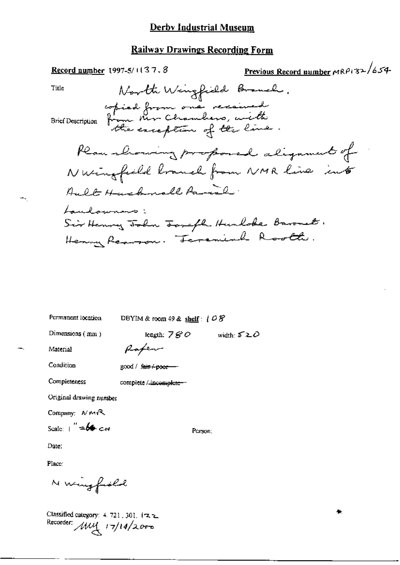| <u>Record number</u> 1997-5/1137, 8     | Previous Record number MRP132/654 |
|-----------------------------------------|-----------------------------------|
| Title<br>North Wingfield Branch,        |                                   |
| Brief Description from one received     |                                   |
| Klan showing proposed alignment of      |                                   |
| Nuringfield branch from NMR line into   |                                   |
| Ault Huckmall Parcial                   |                                   |
| Laudowners:                             |                                   |
| Sir Henry John Joseph Hunloke Baronett. |                                   |
| Henny Reason. Tereminal Rooth.          |                                   |
|                                         |                                   |
|                                         |                                   |
|                                         |                                   |
|                                         |                                   |

DBYIM & room 49 & shelf:  $108$ Permanent location

Dimensions (mm)

length:  $780$  width:  $520$ 

Person:

Material

 $\rightarrow$ 

Rafen

Condition

good / fair / poor-

Completeness complete / incomplete-

Original drawing number

Company:  $N M R$ 

Scale:  $\int$  =  $\frac{1}{2}$  =  $\frac{1}{2}$ 

Date:

Place:

N Wingfield

Classified category: 4.721, 301, 122<br>Recorder:  $\mu$ ull 17/14/2000

۸.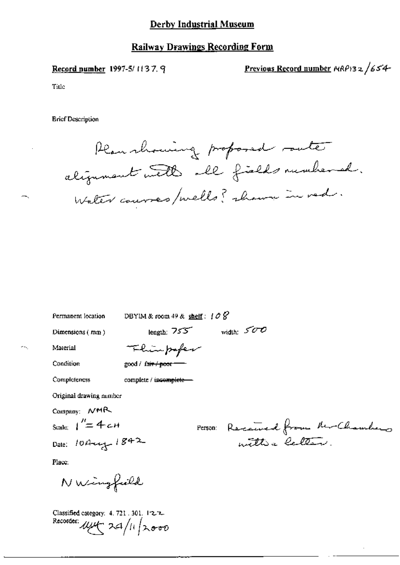#### **Railway Drawings Recording Form**

#### Record number 1997-5/1137.9

Previous Record number  $MRP$ 132/654-

Title

**Brief Description** 

Plan showing proposed suite alignment with all fields numbered. Water courses/wells? shown in red.

Permanent location

DBYIM & room 49 & shelf:  $108$ 

Dimensions (mm)

length:  $755$  width:  $500$ Flünpafer

Condition

Material

good / f<del>air / poor =</del>

Completeness

complete / incomplete-

Original drawing number

Company: NMR

Scale:  $\frac{1}{2}$  4 cH

Date:  $104 - 1842$ 

Person: Received from the Chambers witter Celter.

Place:

Nucingfield

Classified category: 4, 721, 301, 1222. Recorder: My 24/11/2000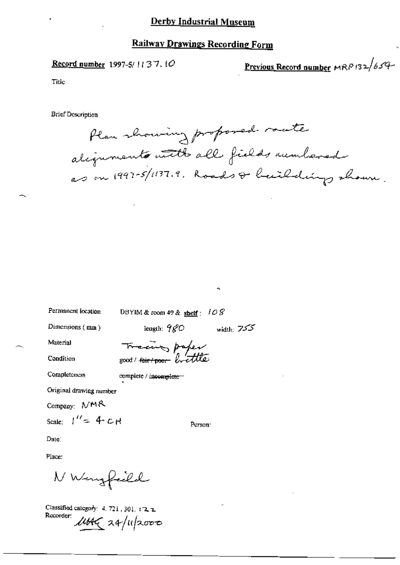**Record number** 1997-5/1137, 10

Previous Record number MRP132/654

Title

**Brief Description** 

Plan showing proposed roate alignments with all fields aumhered as on 1997-5/1137.9. Roads & buildings shown.

width: 755

Permanent location

DBYIM & room 49 & shelf:  $108$ 

Dimensions (mm)

length:  $980$ 

Fraction profer

Material

Condition

Completeness

complete / incomplete

Original drawing number

Company: NMR

Scale:  $1'' = 4 \text{cH}$ 

Person:

Date:

Place:

N Wangfeild

Classified category: 4, 721, 301, 122 Recorder:  $\mu$ tte 24/11/2000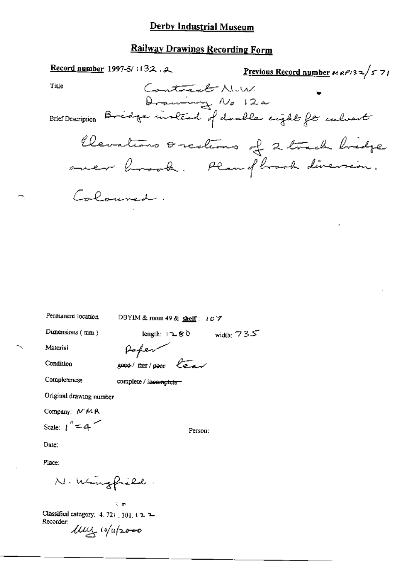# **Railway Drawings Recording Form**

|                          | Record number 1997-5/1132, $2$                               |              |                                         |
|--------------------------|--------------------------------------------------------------|--------------|-----------------------------------------|
|                          |                                                              |              | Previous Record number $mR^{p_1}32/571$ |
| Title                    | Contract NW.                                                 |              |                                         |
| <b>Brief Description</b> | Drawing No 12a<br>Bridge instead of double eight for calvant |              |                                         |
|                          |                                                              |              | Clevations orcelions of 2 track bredge  |
|                          | oner brook. Plan of brook diversion.                         |              |                                         |
|                          | Colouned.                                                    |              |                                         |
|                          |                                                              |              |                                         |
|                          |                                                              |              |                                         |
|                          |                                                              |              |                                         |
|                          |                                                              |              |                                         |
|                          |                                                              |              |                                         |
|                          |                                                              |              |                                         |
|                          |                                                              |              |                                         |
| Permanent location       | DBYIM & room 49 & shelf: 107                                 |              |                                         |
| Dimensions $(mn)$        | length: 1~80                                                 | width: $735$ |                                         |
| Material                 | Hapen                                                        |              |                                         |
| Condition                | good fair poor lear                                          |              |                                         |
| Completeness             | complete / incomplete-                                       |              |                                         |
| Original drawing number  |                                                              |              |                                         |
| Company: MMR             |                                                              |              |                                         |
| Scale: $1''=4$           | Person:                                                      |              |                                         |
| Date:                    |                                                              |              |                                         |
| Place:                   |                                                              |              |                                         |
| N. Wingfield             |                                                              |              |                                         |

ा क Classified category: 4.721, 301,  $(2.2.2)$ <br>Recorder:  $\mu$ uz 10/11/2000

╮

 $\prec$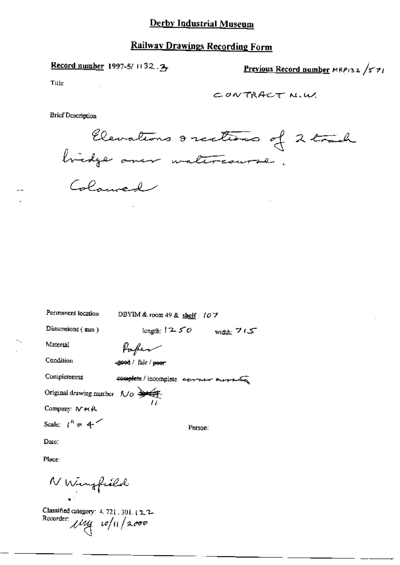### Railway Drawings Recording Form

Record number 1997-5/1132.3

Previous Record number MRP132 /571

Title

CONTRACT N.W.

**Brief Description** 

Elevations rections of 2 track Coloured

| Permanent location                                    | DBYIM & room 49 & shelf: 10フ                     |              |
|-------------------------------------------------------|--------------------------------------------------|--------------|
| Dimensions $(mn)$                                     | length, $1250$                                   | width: $7/5$ |
| Material                                              | Vafer                                            |              |
| Condition                                             | -good / fair / eeer                              |              |
| Completeness                                          | <del>complete</del> /incomplete comment massacks |              |
| Original drawing number $N \circ \rightarrow \bullet$ |                                                  |              |
| Company: $M M R$                                      |                                                  |              |
| Scale: $t^k = 4$                                      | Person:                                          |              |
| Date:                                                 |                                                  |              |
| Place:                                                |                                                  |              |
| N Wingfield                                           |                                                  |              |
|                                                       |                                                  |              |

Classified category: 4, 721, 301, 12, 2-Recorder  $\mu$ ug  $\omega/\pi/2000$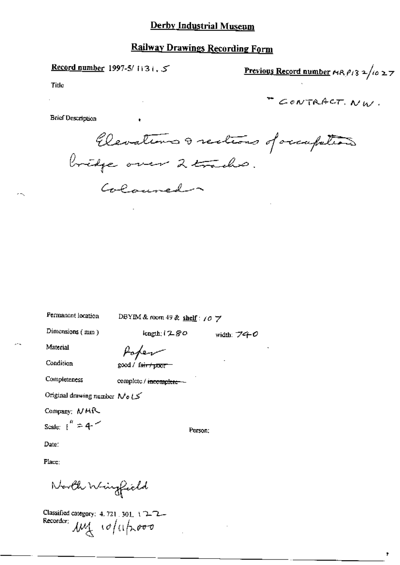Record number 1997-5/1131.5

Previous Record number  $\kappa R \rho/3$  2/10 27

Title

" CONTRACT. NW.

**Brief Description** 

Elevations & rections of occupation bridge over 2 trachs. Coloured

Permanent location

DBYIM & room 49 & shelf:  $70$   $\overline{7}$ 

length; 1280

Dimensions  $(mn)$ 

Poper

Condition

Completeness

Material

good / fair / poor

complete / incomplete --

Original drawing number  $N_0$  ( $\leq$ 

Company: NMR

Scale:  $\int_0^R = 4$ 

Person:

width:  $740$ 

Date:

Place:

North Wingfield

Classified category: 4, 721 . 301. 1 2 2-Recorder: 1Mg 10/11/2000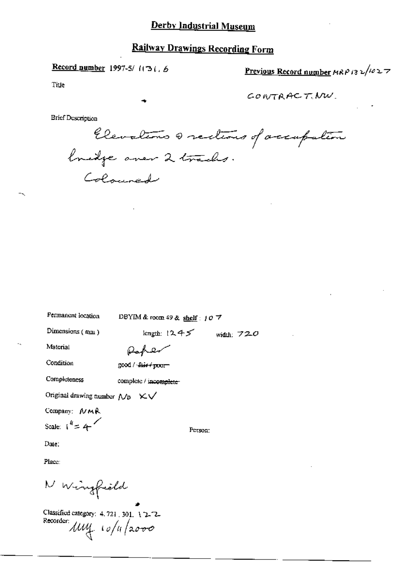Record number 1997-5/1131.6

Previous Record number  $\mu$ RP 13  $\frac{1}{2}$  /10  $\geq$  7

Title

 $CONTRACT. WW$ 

**Brief Description** 

Elevations & rections of accupation bridge over 2 tracks. Coloured

Permanent location

DBYIM & room 49 & shelf: 107

Dimensions (mm)

length:  $1245$  width: 720

Material

Raher

Condition

Completeness

 $\text{good}/\text{-fair+}$ poor

complete / incomplete

Original drawing number  $\mathcal{N}_D$   $\times \vee$ 

Company: NMR

Scale:  $\sqrt{4} = 4$ 

Person:

Date:

Place:

N Wingfield

Classified category: 4.721 .301. 12-2-Recorder  $\mu$  10/11/2000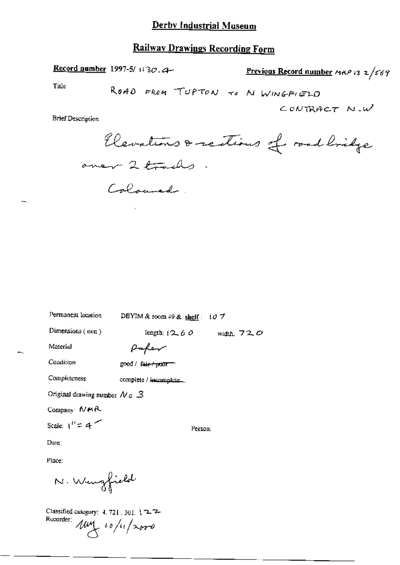#### **Railway Drawings Recording Form**

Record number 1997-5/ $130.4$ Previous Record number MRP 13 2/569 Title ROAD FROM TUPTON TO N WINGFIELD CONTRACT  $N.W$ **Brief Description** Elevations & restions of road bridge over 2 tracks. Coloured. Permanent location DBYIM & room 49 & shelf: to 7 Dimensions (mm) length;  $(2, 60$  width;  $720$ Material Paper Condition

good / fair / poor

complete / incomplete...

Original drawing number  $N \circ \mathcal{Z}$ 

Company: NMA

Scale:  $1^{it} = 4$ 

Completeness

Person:

Date:

Place:

N. Wingfield

Classified category: 4, 721, 301, 17272-Recorder:  $\mu$  $\mu$  10/11/2000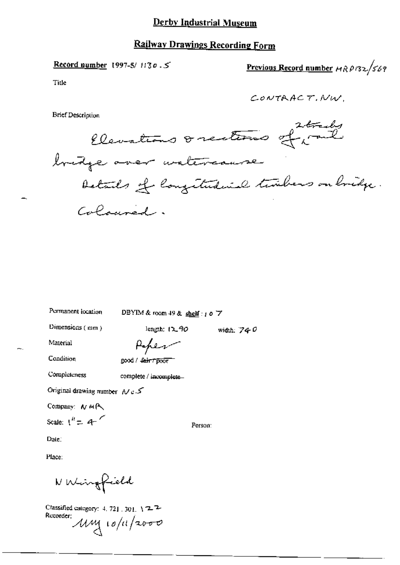Record number 1997-5/1130.5

Previous Record number  $HRP/32/569$ 

Title

**Brief Description** 

Elevations onestimes of mile bridge over watercause Details of longitudinal timbers on bridge. Coloured.

width,  $740$ 

Permanent location

DBYIM & room 49 & shelf:  $107$ 

length; 12.90

Dimensions (mm)

Peper

Condition

Material

good / fair / poor

Completeness

complete / incomplete-

Original drawing number  $N c$ -S

Company: N HP

Scale:  $1'' = 4$ 

Person:

Date:

Place:

N Mingfield

Classified category: 4, 721, 301,  $\sqrt{2^2}$ Recorder: 1114 10/11/2000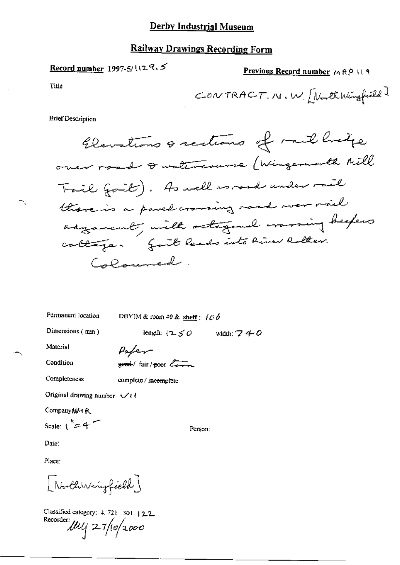### **Railway Drawings Recording Form**

Record number 1997-5/1129.5

### Previous Record number MRP 119

Title

**Brief Description** 

Permanent location

DBYIM & room 49 & shelf:  $100$ 

Dimensions (mm)

length:  $1250$  width:  $740$ 

Material Condition

Paper good/ fair/poor Corn

Completeness

complete / incomplete

Original drawing number  $\sqrt{t}$ 

Company MA R

Scale:  $\frac{k}{2}$  = 4

Person:

Date:

Place:

[NorthWengfield]

Classified category: 4, 721, 301, 12.2. Recorder ULLY 27/10/2000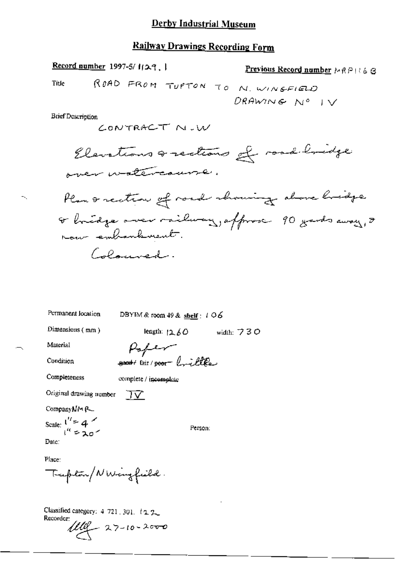Record number 1997-5/ $f(2, 3)$ . Previous Record number  $\forall R P \cup \Delta B$ ROAD FROM TUPTON TO N. WINGFIELD Title DRAWING Nº IV **Brief Description** CONTRACT N.W Elevations & rections of road bridge

| Permanent location | DBYR |  |
|--------------------|------|--|
|                    |      |  |

 $M\&$  room 49 & shelf : 1 0 6

Dimensions (mm)

width:  $730$ length:  $12.60$ 

Material

Condition

Poper sport fair/poor frittle

Completeness

complete / incomplete

Original drawing number  $\overline{V}$ 

Company NM R

Scale:  $\frac{1}{1}$  = 4 Date:

Person:

Place:

Trapton/NWingfield.

Classified category: 4-721, 301, the 2 Recorder:

 $110-27-10-2000$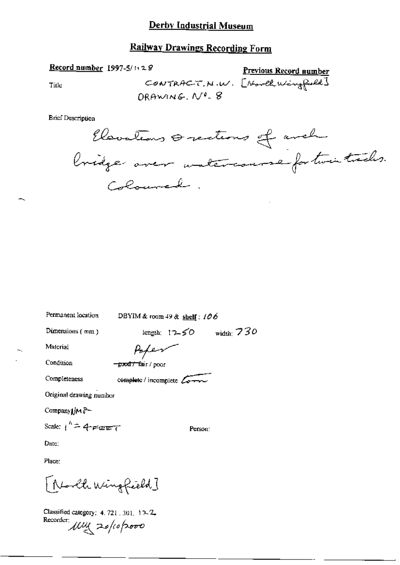### Railway Drawings Recording Form

Record number  $1997-5/1128$ 

**Previous Record number** 

Title

CONTRACT.N.W. [Marthwingfield]  $DRAWG, N^{\circ}$  8

**Brief Description** 

Elevations & rections of avel Crisge aver untercourse for twintedes. Coloured.

Permanent location

DBYIM & room 49 & shelf: 106

Dimensions  $(mm)$ 

Material

Condition

Poper -good / fair / poor

complete / incomplete Communi

Original drawing number

Company  $\mathcal{M}$ <sup>2</sup>

Completeness

Scale:  $1^{h} = 4 + \epsilon \epsilon$ 

Date:

Place:

[North Wingfield]

Classified category: 4, 721, 301, 10-2 Recorder un 20/10/2000

Person:

length:  $12-50$  width:  $730$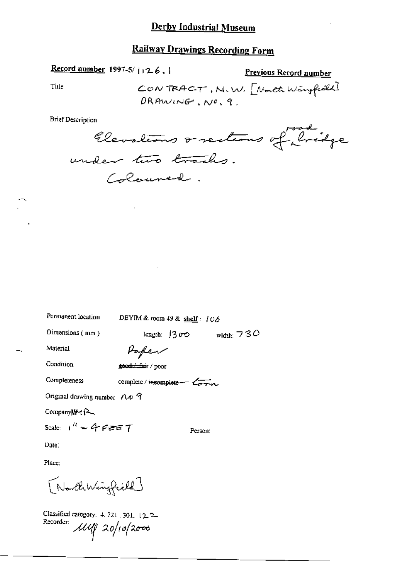Record number 1997-5/ $|126, 1$ 

Previous Record number

Title

CONTRACT. N.W. [Month Wingfield] ORAWING, NO. 9.

**Brief Description** 

Elevalions orections of bridge under two tracks. Coloured.

Permanent location

DBYIM & room 49 & shelf: 106

Dimensions (mm)

length:  $|3 \sigma \phi|$  width: 730

Person:

Material

Paper <del>good. Lai</del>r / poor

Condition

Completeness

complete / incomplete -- Low

Original drawing number No 9

Company MA P

Scale:  $1'' = 4$  FEET

Date:

Place:

[NorthWingfield]

Classified category:  $4.721.301.12.2$ Recorder: 1119 20/10/2000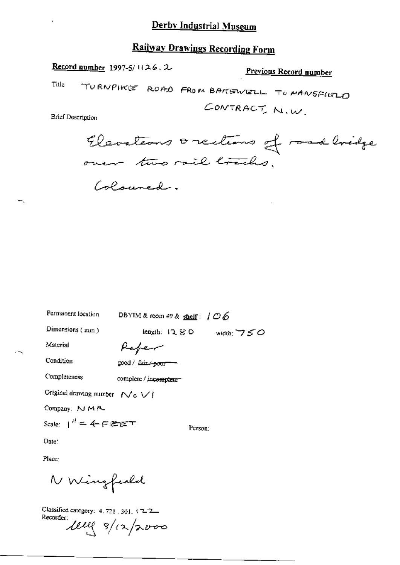Record number 1997-5/1126.2

Previous Record number

Title

TURNPIKE ROAD FROM BATEWELL TO MANSFIELD CONTRACT, M.W.

**Brief Description** 

Elevations orections of road hidge over two rail tracks.

Coloured.

| Permanent location                               | DBYIM & room 49 & shelf: $106$       |         |              |
|--------------------------------------------------|--------------------------------------|---------|--------------|
| Dimensions $(mn)$                                | length: 12, 80                       |         | width: $750$ |
| Material                                         | Raper                                |         |              |
| Condition                                        | good / <i>fair</i> - <del>poor</del> |         |              |
| Completeness                                     | complete / incomplete-               |         |              |
| Original drawing number $\forall c \forall f$    |                                      |         |              |
| Company: N M A                                   |                                      |         |              |
| Scale: $1'' = 4 - \in \mathbb{E} \in \mathbb{T}$ |                                      | Person: |              |
| Date:                                            |                                      |         |              |

Place:

 $\sim$ 

N Wingfeeld

Classified category: 4, 721, 301, 12-2-Recorder: lell s/12/2000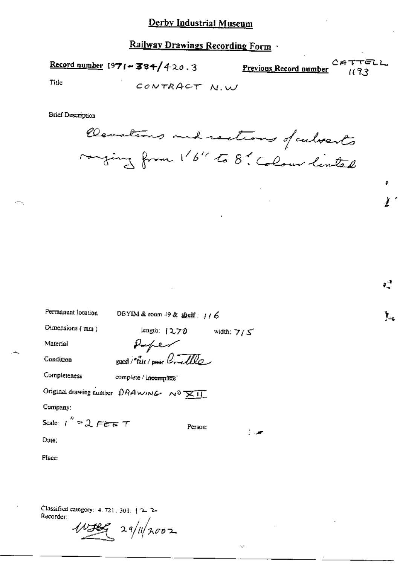$CATTELL$ Record number 1971-384/420.3 Previous Record number  $1133$ Tide CONTRACT N.W **Brief Description** Clevations and rections of culverts

ranging from 1'6" to 8% Colour linted

ų-

¢

 $\dot{\chi}^{\alpha}$ 

¢.

Ì.,

Permanent location DBYIM & room  $49$  & shelf:  $116$ Dimensions (mm) length: (270 width:  $\sum \mathcal{L}$ Paper Material sood/tair/poor Crettle Condition Completeness complete / incomplete" Original drawing number  $D$ RAWING  $N^{\circ}$  XII Company: Scale:  $1^{4}$  = 2 FEE T Person: े अन Date: Place:

Classified category: 4, 721, 301, { 2, 2-Recorder:

 $w_{\mathcal{B}}(x) = \frac{1}{2} \int_{0}^{x} \frac{1}{\sqrt{x}} e^{-x} \, dx$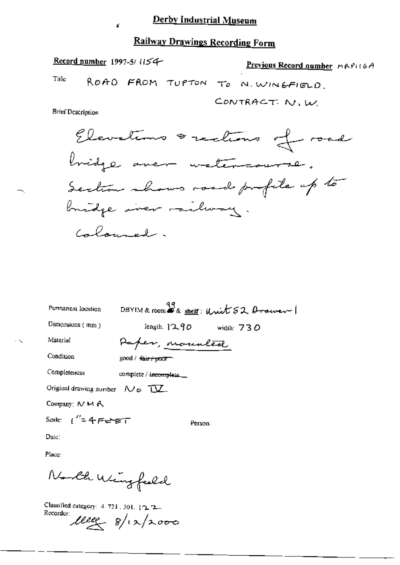Record number 1997-5/ $1154$ 

Previous Record number MRPILGA

Title

ROAD FROM TUPTON TO M. WINGFIELD.

k

CONTRACT. N.W.

**Brief Description** 



| Permanent location                            | DBYIM & room $\mathcal{L}_{\&}$ shelf: Unit $52$ brower |
|-----------------------------------------------|---------------------------------------------------------|
| Dimensions (mm)                               | length, $12.90$ width: $730$                            |
| Material                                      | Paper, mounted                                          |
| Condition                                     | good / <del>fair / pnor</del>                           |
| Completeness                                  | complete / incomplete                                   |
| Original drawing number $\sqrt{2}$ $\sqrt{2}$ |                                                         |
| Company: N M R                                |                                                         |
| Scale: (″=4 <del>Fe≥e</del> rT                | Person:                                                 |
| Date:                                         |                                                         |
| Place;                                        |                                                         |
|                                               |                                                         |

North Wengfeeld

Classified category:  $4$  721, 301,  $\uparrow$  2 Recorder:  $l$ eeg  $8/12/2000$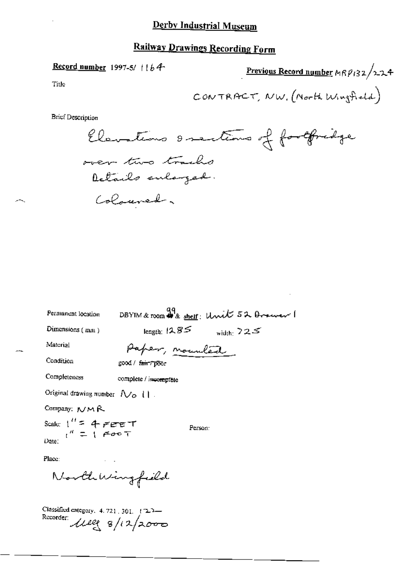Record number 1997-5/ 1164

Previous Record number  $MRP/32/2.24$ 

Title

**Brief Description** 

Elevations smartions of footbridge over two tracks Details enlarged. Coloured.

Permanent location

DBYIM & room  $\overset{qq}{\bullet}$  & shelf; Unit 52 Orouver 1

Dimensions (mm)

length:  $1285$ width:  $225$ 

Person:

Material

Paper, mounted

Condition

Completeness

complete / incomplète

good / fan 1 poor

Original drawing number  $N_o$  (1).

Company: NMR

Scale:  $1'' = 4$   $r \in T$ <br>Date:  $1'' = 1$   $r \in T$ 

Place:

Northwingfield

Classified category, 4, 721, 301, 1727-Recorder: 11ee 8/12/2000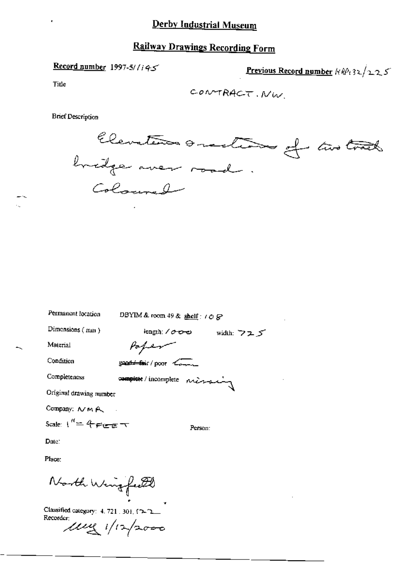### **Railway Drawings Recording Form**

### Record number 1997-5//i 45

Previous Record number  $\frac{R}{\ell}$  22/225

Title

**Brief Description** 



DBYIM & room 49 & shell: 108

Dimensions  $(mn)$ 

Material

Condition

good fair/poor Comme

Poper

Completeness

complete / incomplete mention

Original drawing number

Company: N M A

Scale:  $1'' = 4 + 14 + 17$ 

Person:

length: 1000 width: 725

Date:

Place:

North Wingfeeld

Classified category:  $4.721$ . 301.  $122$ Recorder:

 $\mu$ ung 1/12/2000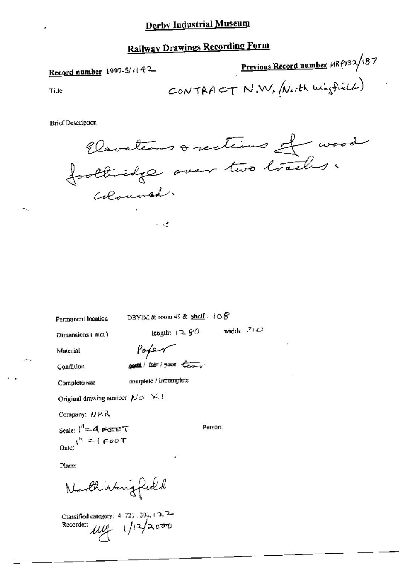# **Railway Drawings Recording Form**

Previous Record number 198 P132/187 Record number 1997-5/1(42 CONTRACT N.W,  $(\mathcal{N}_{\ell}, \mathcal{L}_{\ell})$ 

Title

**Brief Description** 

Elevations orientions of wood footbridge over two tracks. Colouvad.

Permanent location

DBYIM & room 49 & shelf:  $108$ 

Dimensions (mm)

length:  $(2, \hat{g}0)$  width:  $\overline{\psi}$ 

Material

Poper

مي .

Condition

some / fair / poor leave

Completeness

complete / incumplete

Original drawing number  $N\phi \leq l$ 

Company:  $WMR$ 

Scale:  $1^{14} = 4$ - FGET Date:  $V^h = (1 + \sigma \sigma T)$ 

Person:

Place:

North Wingfield

Classified category: 4, 721, 301, 12, 2-Recorder:  $\mu y + 1/12/2000$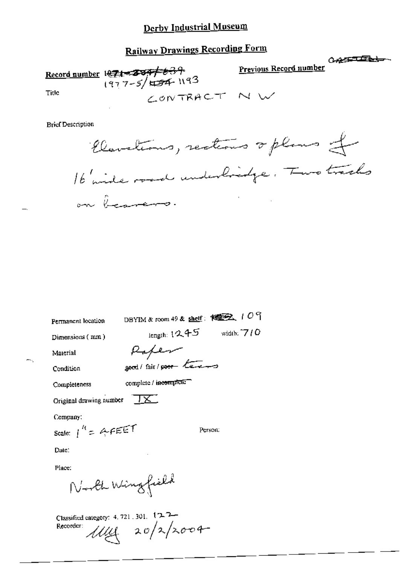# **Railway Drawings Recording Form**

 $0.457222$ 

Record number 1271 - 384 + 839<br>1977 - 5/ 1364 - 1193 CONTRACT NW Title

Previous Record number

**Brief Description** 

m.

Clarations, rections of flows of 16 mile road underliedge. Two tracks on bearers.

| DBYIM & room 49 & shelf: $\overline{\text{SE2}}$ / O |                                         |
|------------------------------------------------------|-----------------------------------------|
| $l$ ength: $1245$                                    | width: $7/0$                            |
| Kaper                                                |                                         |
|                                                      |                                         |
| complete / incomplete                                |                                         |
| Original drawing number                              |                                         |
|                                                      |                                         |
| Scale: $1^R = AFEET$                                 | Person:                                 |
|                                                      |                                         |
|                                                      |                                         |
|                                                      |                                         |
|                                                      | good/fair/poor lesso<br>North Wingfield |

Classified category: 4, 721, 301, 172- $1114$  20/2/2004 Recorder: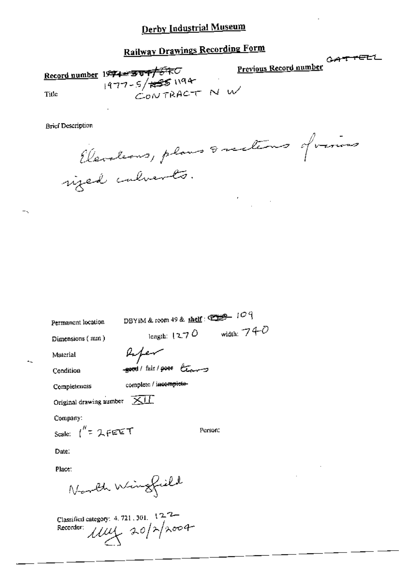# **Railway Drawings Recording Form** GATTELL<br>Previous Record number

Record number 19<del>94 354/64</del>0  $1977 - 5 / 194$ CONTRACT NW Title

**Brief Description** 

Elevations, plans suctions of various

 $\mathcal{F}_{\text{max}}$ 

- 6

| Permanent location          | DBYIM & room 49 & shelf: $Q_{\text{max}} = 104$ |              |
|-----------------------------|-------------------------------------------------|--------------|
| Dimensions (mm)             | length: $1270$                                  | width: $740$ |
| Material                    | Infer                                           |              |
| Condition                   | good/fair/poor Court                            |              |
| Completeness                | complete / incomplete-                          |              |
| Original drawing number XII |                                                 |              |
| Company:                    |                                                 |              |
| Scale: $1'' = 2$ FEET       |                                                 | Person:      |
| Date:                       |                                                 |              |
| Place:                      |                                                 |              |
|                             | North Wingfield                                 |              |

Classified category: 4, 721, 301, 12-2-Recorder:  $\mu\mu$  20/2/2004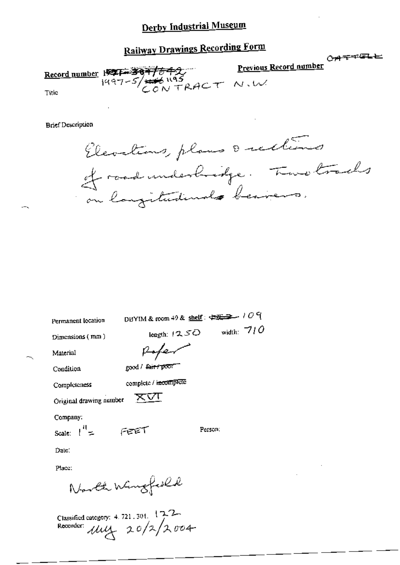# **Railway Drawings Recording Form**

ር<del>ሰጥመር</del>።

<u>Previous Record number</u> Record number 1977-307/042 Title

#### **Brief Description**

Elevations, plans & reclience et road underbridge. Two tracks

Permanent location

DBYIM & room 49 & shelf:  $\sqrt{272}$  / 0 9 length:  $1250$  width:  $710$ 

Person:

Dimensions (mm)

Rofer

Condition

Material

Completeness

complete / incomplete

good / fair / poor

Original drawing number

Company:

Scale:  $I^H =$ 

**FEET** 

 $X\triangleleft \mathcal{L}$ 

Date:

Place:

North Wingfield

Classified category: 4, 721, 301, 1722-Recorder:  $\mu \mu \chi$  20/2/2004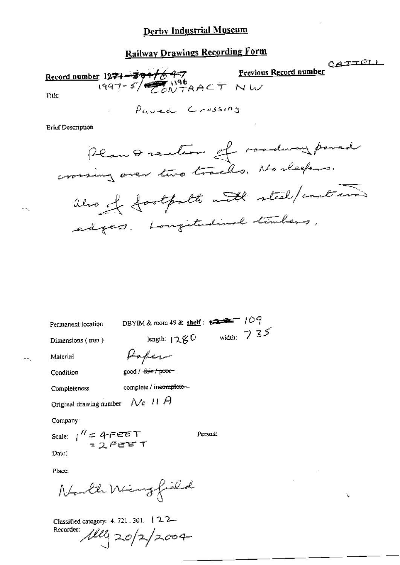# **Railway Drawings Recording Form**

Previous Record number Record number 1271-301/647<br>1947-5/1200 1947-5/1200 Title

 $\rho_{\alpha\beta}$  ed  $C_{\beta\beta}$ 

**Brief Description** 

Permanent location

DBYIM & room 49 & shelf:  $\sqrt{2\pi}$  /09 length:  $1280$  width:  $735$ 

Person:

Dimensions (mm)

Poper

good / -fair / poor-

Condition

Completeness

Material

 $-$ 

complete / incomplete-

Original drawing number  $\sqrt{2}$  //  $\theta$ 

Company:

Scale:  $\begin{array}{c} \text{Scale:} \\ = 2 \end{array}$   $\begin{array}{c} \text{FeET} \\ = 1 \end{array}$ 

Date:

Place:

North Wingfield

Classified category: 4, 721, 301, { 2, 2-Recorder:  $100/20/2004$ 

٦Ç,

 $CATTELL$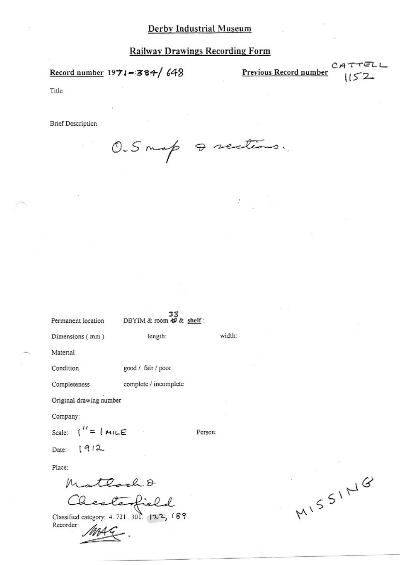Record number  $1971 - 384/648$ 

Previous Record number

Title

**Brief Description** 

O. Smap Q sections.

width:

Person:

| Dimensions (mm) | length:               |
|-----------------|-----------------------|
| Material        |                       |
| Condition       | good / fair / poor    |
| Completeness    | complete / incomplete |

33<br>DBYIM & room  $49$  & shelf:

Original drawing number

Permanent location

Company:

 $1'' = 1$  MILE Scale:

 $1912$ Date:

Place:

Mattock & esterfield

Classified category: 4.721.301. 122, 189 Recorder:

MISSING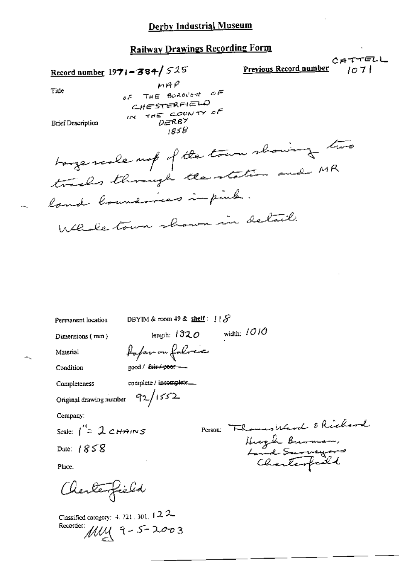CATTELL Record number 1971-384/525 Previous Record number  $1071$  $MAP$ Title THE BOROVER OF تتره CHESTERFIELD THE COUNTY OF  $\overline{1}$ DER87 **Brief Description** 1858 torgenalemp of the town showing two tricks through the station and MR land laundaries impire. Whale town shown in detail. DBYIM & room 49 & shelf:  $18^{\circ}$ Permanent location length:  $1320$  width:  $1010$ 

Dimensions (mm)

Hoper on follows  $good / 2$   $\frac{1}{2}$   $\frac{1}{2}$   $\frac{1}{2}$   $\frac{1}{2}$   $\frac{1}{2}$   $\frac{1}{2}$   $\frac{1}{2}$   $\frac{1}{2}$   $\frac{1}{2}$   $\frac{1}{2}$   $\frac{1}{2}$   $\frac{1}{2}$   $\frac{1}{2}$   $\frac{1}{2}$   $\frac{1}{2}$   $\frac{1}{2}$   $\frac{1}{2}$   $\frac{1}{2}$   $\frac{1}{2}$   $\frac{1}{2}$   $\frac{1}{2}$   $\frac{$ 

Condition

Material

Completeness

complete / incomplete......  $92/1552$ 

Original drawing number

Company:

Scale:  $1^{\prime\prime}$  = 2 cHAINS

Date:  $1858$ 

Place,

Chertenfield

Classified category: 4, 721, 301, 122 Recorder:  $\mu$ uy 9 - 5 - 2003

Person: Flowers Ward & Richard Hugh Burnow,<br>Land Surveyor,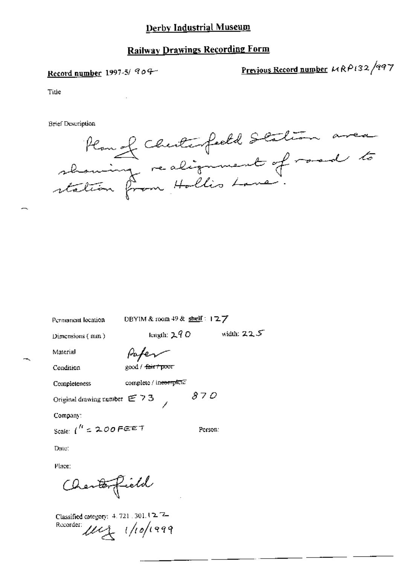### **Railway Drawings Recording Form**

### Record number 1997-5/ 904-

Previous Record number  $MRP$ 132/997

Title

**Brief Description** 



Permanent location

DBYIM & room 49 & shelf: 127

length:  $225$  width:  $225$ 

87 O

Person:

Dimensions (mm)

Paper

Condition

Material

good / <del>fair / poo</del>r

Completeness

complete / inecemptate

Original drawing number  $\epsilon$  73

Company:

Scale:  $\int_0^R z 200F E E T$ 

Date:

Place:

Charlesfield

Classified category: 4.721.301.122 Recorder:  $\mu$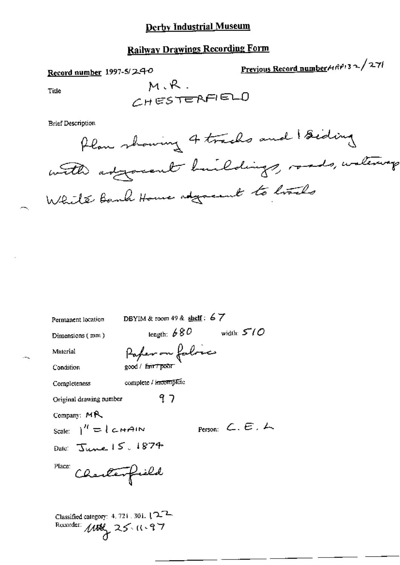# **Railway Drawings Recording Form**

Record number 1997-5/240

Previous Record number 
$$
4R^{p_1}3 \sim \frac{271}{}
$$

Title

╮

 $\left\langle -\infty\right\rangle$ 

**Brief Description** 

| Permanent location                                                              | DBYIM & room 49 & shelf: $67$  |
|---------------------------------------------------------------------------------|--------------------------------|
| Dimensions (mm)                                                                 | length: $680$<br>width: $5/0$  |
| Material                                                                        | Paper on fabrics               |
| Condition                                                                       | good / f <del>air / poor</del> |
| Completeness                                                                    | complete / incomplete          |
| Original drawing number                                                         | 97                             |
| Company: MR                                                                     |                                |
| Scale: $\frac{1}{1}$ $=$ $\epsilon$ $\epsilon$ $\epsilon$ $\epsilon$ $\epsilon$ | Person: $C, E, A$              |
| Date: $\text{True}$ 15. 1874                                                    |                                |
| Place:<br>Charles field                                                         |                                |
| Classified category: 4, 721, 301, 122<br>Recorder: $\mu$ the 25. $(1.97)$       |                                |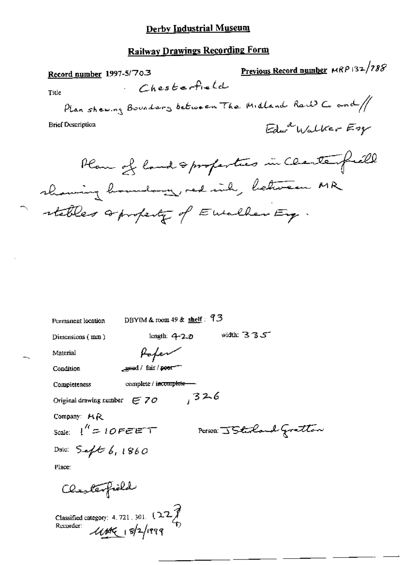### Railway Drawings Recording Form

Previous Record number MRP 132/788 Record number 1997-5/70.3 Chesterfield Title Plan shewing Boundary between The Midland Rail Co and **Brief Description** Edward Walker Egy Plan of land & proferties in Clarke field chancing boundary, red inh, between MR ratables sprokerty of Euraller Ex.

Permanent location

DBYIM & room  $49$  & shelf: 73

Dimensions (mm)

length:  $4-2.0$  width:  $3.35$ 

Pofer

Condition

Material

 $\_$ geed / fair /  $\epsilon$ ee $\tau$ 

Completeness

complete / incomplete-

 $326$ Original drawing number  $\epsilon$  70

Company: HR

Scale:  $1'' = 10$ FEET Dale: Seft 6, 1860

Person J Starland Gratton

Place:

Clesterfield

Classified category: 4.721.301.  $(22\frac{7}{6})$ <br>Recorder:  $\sqrt{16\pi}$   $(8/2/1799)$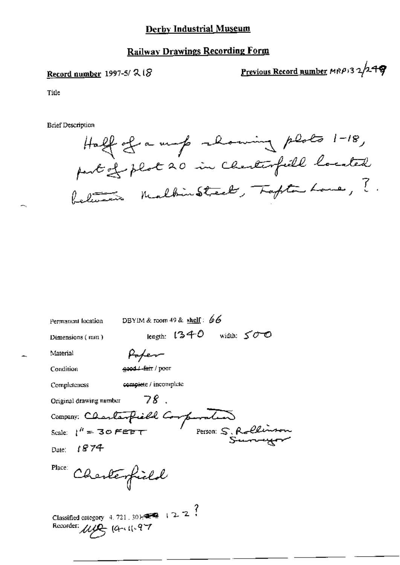### **Railway Drawings Recording Form**

#### Record number 1997-5/ $\Omega$ 1 $\delta$

Previous Record number MRP132/29

Title

**Brief Description** 

Half of a map channing plots 1-18,<br>put of plot 20 in chesterfield located believe Malkinstreet, Topte Lone, ?.

| Permanent location              | DBYIM & room 49 & shelf: $66$                                                |
|---------------------------------|------------------------------------------------------------------------------|
| Dimensions (mm)                 | length: $1340$ width: $500$                                                  |
| Material                        | Hoper                                                                        |
| Condition                       | good / -£aπ / poor                                                           |
| Completeness                    | complete / incomplete                                                        |
|                                 |                                                                              |
|                                 |                                                                              |
|                                 | Original drawing number<br>Company: Charles Piell Company Person: 5, Rollins |
| Date: $1874$                    |                                                                              |
| Place:                          | Cherteofield                                                                 |
| Recorder: $\mu\mu$ , (and 11097 | Classified category 4, 721, 301, $\sqrt{2}$ 1 2, 2, 3                        |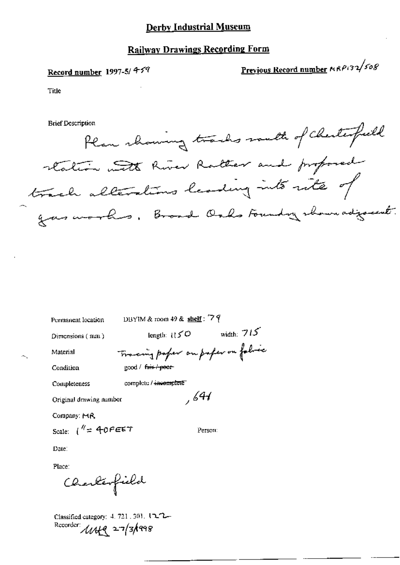#### **Railway Drawings Recording Form**

### Record number 1997-5/459

Previous Record number MRP132/508

Title

**Brief Description** Plan chairing tracks routh of Chesterfield station with hiver Ratter and proposed track alterations leading into rite of

Permanent location

DBYIM & room 49 & shelf:  $79$ 

Dimensions (mm)

length:  $150$  width: 715

, 641

Person:

Tracing paper on paper on folice

good / fair / peor

Completeness

Material

Condition

complete / incomplete

Original drawing number

Company: MR

Scale:  $1^{\prime\prime}$ = 40FEET

Date:

Place:

Charlesfield

Classified category: 4, 721, 301, 12, 22-Recorder: 1149 27/3/1998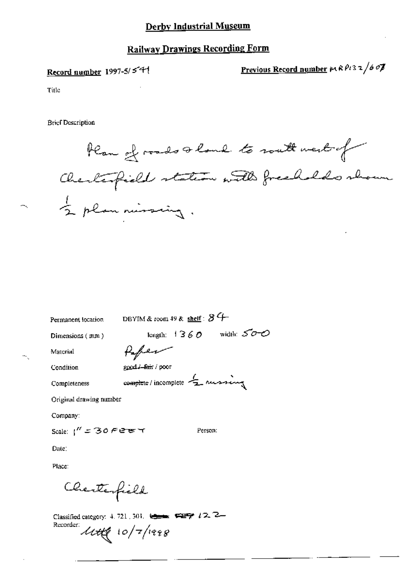Record number 1997-5/541

<u>Previous Record number</u>  $\mu$  R  $\rho$ 13 z / 6 o**J** 

Title

**Brief Description** 

Plan of roads to hand to rout west of Charlespield station with freeholds shown 2 plan nursing.

DBYIM & room 49 & shelf:  $84$ Permanent location

Dimensions (mm)

length:  $1360$  width:  $500$ 

Material

Paper good / fair / poor

Condition

Completeness

complete/incomplete = mussing

Person:

Original drawing number

Company:

Scale:  $1'' = 30$  Ferer

Date:

Place:

Cherterfield

Classified category: 4, 721, 301, 1999 122-Recorder:  $\mathcal{U}$ ttl $\ell$  10/7/1998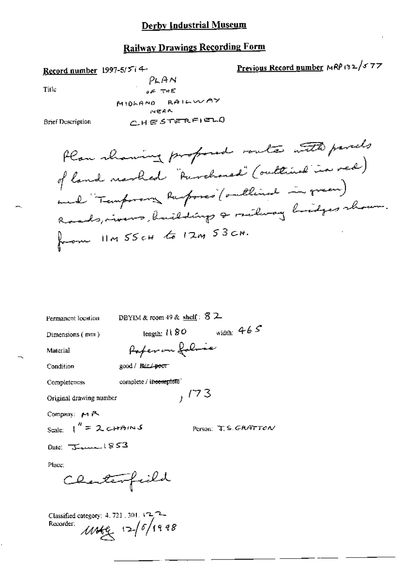### **Railway Drawings Recording Form**

Record number 1997-5/5 i 4-

Previous Record number MRP 132/577

Title

 $0 = T + E$ MIDLAND RAILWAY NEAR CHESTERFIELD

 $P<sub>L</sub>A<sub>N</sub>$ 

**Brief Description** 

Plan channing proposed voutes with parals of land narked "Purchased" (outtind in red) and Temporary Ruspones (outlined in green) Roads, rivers, buildings & rileray builges shown. from IIM 55CH to 12M 53CH.

| Permanent location      | DBYIM & room 49 & shelf: $82$ |                      |
|-------------------------|-------------------------------|----------------------|
| Dimensions (mm)         | length: $1180$                | width: $465$         |
| Material                | Poper on folice               |                      |
| Condition               | good / Kair <del>/poor</del>  |                      |
| Completeness            | complete / incomplete         |                      |
| Original drawing number |                               | ,73                  |
| Company: MR             |                               |                      |
| Scale: $1'' = 2cHsinS$  |                               | Person: J.S. GRATTON |
| Date: $\frac{1853}{ }$  |                               |                      |
| Place:                  |                               |                      |
|                         | Charlesfield                  |                      |

Classified category: 4, 721, 301, 172, 72- $1049$   $(2/6)$ 1998 Recorder: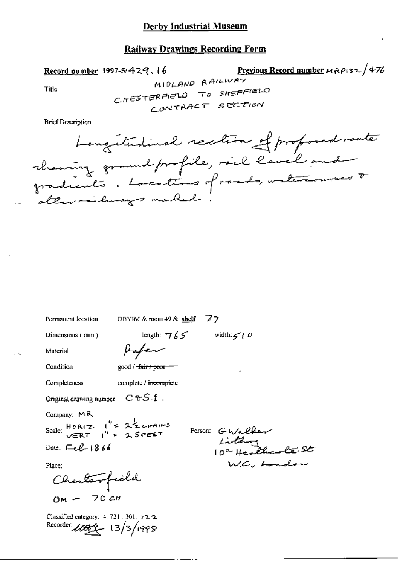#### **Railway Drawings Recording Form**

Record number 1997-5/429.16

Previous Record number  $\mu$ RP132/476

Title

MIDLAND RAILWAY CHESTERFIELD TO SHEFFIELD CONTRACT SECTION

**Brief Description** 

Longitudinal rection of profondroute

| Permanent location                                                             | DBYIM & room $49$ & shelf: $77$  |                        |  |
|--------------------------------------------------------------------------------|----------------------------------|------------------------|--|
| Dimensions (mm)                                                                | length: $765$                    | width: $\leq t$ U      |  |
| Material                                                                       | Paper                            |                        |  |
| Condition                                                                      | good / <del>fair / poor</del>    |                        |  |
| Completeness                                                                   | complete / <del>incomplete</del> |                        |  |
| Original drawing number $C \mathcal{C} S.1$ .                                  |                                  |                        |  |
| Company: $M$ R                                                                 |                                  |                        |  |
| Scale: HORIZ $1'' = 22cmams$<br>Scale: VERT $1'' = 25\rho \epsilon \epsilon T$ |                                  | Person: $G$ $h/a$ like |  |
| Date: $\mathsf{L}_\mathsf{L}$ (866                                             |                                  | Lithographic St        |  |
| Place:                                                                         |                                  | W.C., Londo            |  |
| Charlemfield                                                                   |                                  |                        |  |
| 70 CH                                                                          |                                  |                        |  |
| Classified category: 4.721.301. 122<br>Recorder 2000 4 13/3/1998               |                                  |                        |  |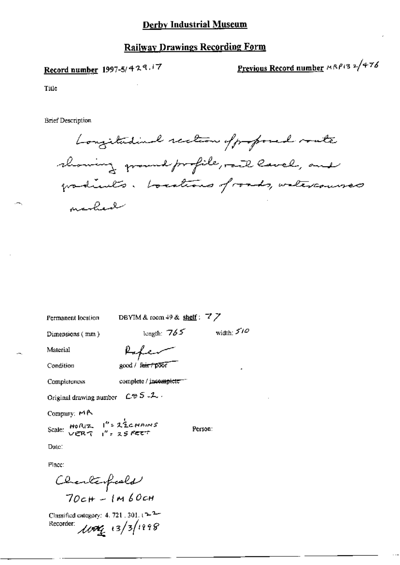#### **Railway Drawings Recording Form**

### Record number 1997-5/429.17

Previous Record number MRP13 2/476

Title

**Brief Description** 

Longitudinal rection of proposed vale channing ground profile, rail lavel, and gradicates. Locations of roads, watercourses nnofeel

width:  $510$ 

Person:

Permanent location

DBYIM & room  $49$  & shelf:  $7$  /

Dimensions (mm)

length:  $765$ Paper

Condition

Material

good / fair / poor

Completeness

complete / incomplete<sup>--</sup>

Original drawing number  $C \oplus S - Z$ .

Company: HA

Scale: HORIZ  $1''$ = 22 CHAINS

Date:

Place:

Charlespoold  $70cH - 1M60cH$ 

Classified category: 4, 721, 301,  $(2 - 2 -$ Recorder:  $\text{1004} \cdot 3/3/1998$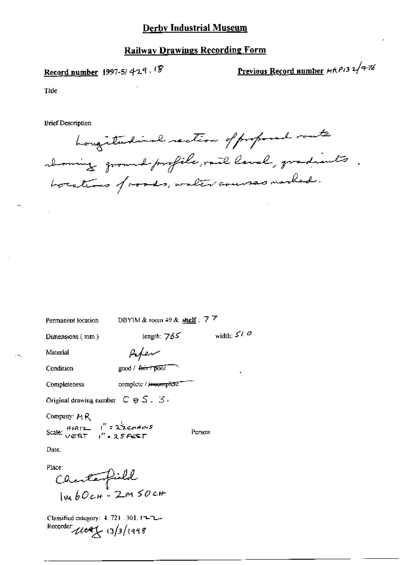#### **Railway Drawings Recording Form**

### Record number 1997-5/429.18

Previous Record number MRP132/476

Title

**Brief Description** 

houghtedinal rection of proposed route rhowing ground profile, rail laval, gradients. bocations of roads, water courses marked.

Permanent location

DBYIM & room 49 & shelf:  $7\overline{7}$ 

Person:

Dimensions (mm)

length;  $765$  width;  $510$ Afer

Material

Condition

Completeness

good / fare poor

complete / incomplete

Original drawing number  $C \otimes S$ .  $\mathbb{Z}$ .

Company:  $M$  $R$ 

Scale:  $H^{OR/2}$   $t'' = \lambda^{\frac{1}{2}}$ chains

Date:

Place: Charterfield<br>Inbock-2m50ck

Classified category: 4, 721, 301, 1222 Recorder  $u \leftrightarrow (3/3/1998)$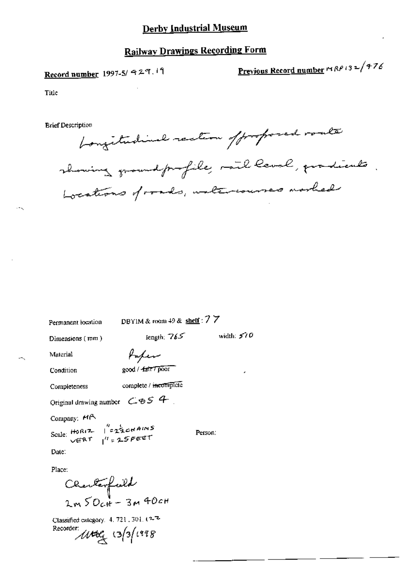### **Railway Drawings Recording Form**

Record number 1997-5/ 429.19

Previous Record number MRP 132/476

Title

**Brief Description** 

bonjetudinal reation of frospored roads showing ground profile, rail level, prodicuts. Locations foods, waltercourses morted

Permanent location

DBYIM & room 49 & shelf:  $77$ 

Dimensions (mm)

length;  $765$ 

width:  $570$ 

Material

Paper

Condition

good / fatt 7 poor

complete / incomplete

Completeness

Original drawing number  $\cos \theta$ .

Company:  $H^A$ 

Scale: HORIZ  $\int_{c}^{u} z \frac{1}{2} c \pi A i mS$ <br> $\sqrt{\epsilon} RT = \int_{c}^{u} z \sqrt{\epsilon} F e^{i\epsilon T}$ 

Person:

Date.

Place:

Charlesfield<br>2m 50ct - 3m 40ct

Classified category. 4, 721, 301, (2-2-

Recorder: *uve* 13/3/1998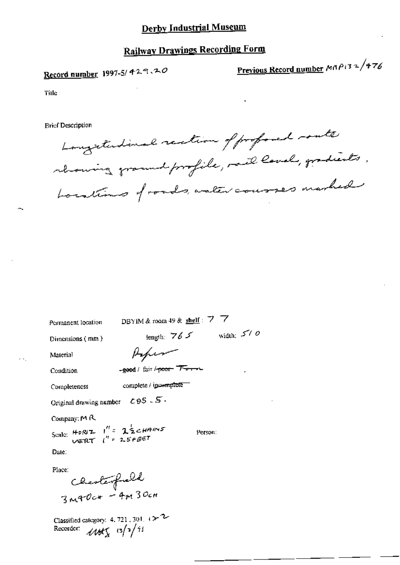## **Railway Drawings Recording Form**

Record number 1997-5/429.20

<u>Previous Record number</u>  $M\Omega P/3 \sim \sqrt{776}$ 

Title

**Brief Description** 

Longitudinal rection of profond route rhowing ground profile, rail laval, gradients, Locations fronds, water courses marked

DBYIM & room 49 & shelf:  $7\ 7$ 

Dimensions (mm)

Permanent location

length:  $765$  width:  $570$ Arpen

-good / fair / poor Tween

Condition

Material

complete / incomplete Completeness

Original drawing number  $C \Theta S = S$ .

Company: MR

Scale:  $H^{\circ}R^{\circ}L$   $I'' = \mathcal{L}^{\circ}L^{2}CH^{n}R^{n}S$ <br>vERT  $I'' = 25FE^{ET}$ 

Person:

Date:

Place:

Charlesfuld  $3m40c* - 4m30c$ 

Classified category: 4, 721, 301, 12-2 Recorder:  $\mathcal{U}$   $\mathcal{U}$   $\mathcal{V}$   $\left(3\right)^2$   $\left(9\right)^2$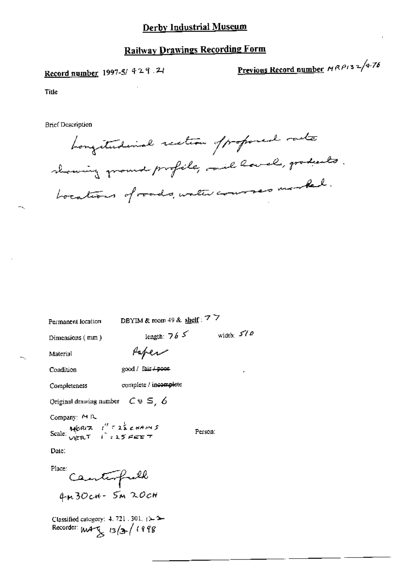### **Railway Drawings Recording Form**

### Record number 1997-5/ 429.21

<u>Previous Record number</u>  $MRP/32/476$ 

Title

**Brief Description** 

Longitudinal restron of professed rade showing ground profile, said laval, graduates. bocations of roads, water courses morted.

DBYIM & room 49 & shelf:  $7\overline{7}$ Permanent location length:  $765$  width:  $570$ Dimensions (mm) Paper Material good / fair / poor Condition complete / incomplete Completeness Original drawing number  $C \oplus S$ , 6 Company: MR Scale:  $M/2RT$   $T''$  =  $2566605$ <br>Scale:  $V/2RT$   $T''$  =  $25665T$ Person: Date: Place: Cantifield 4m30cH- 5m 20cH Classified category: 4, 721, 301,  $\uparrow$  2 Recorder:  $\mu$   $\frac{1}{5}$   $\frac{13}{3}$  (998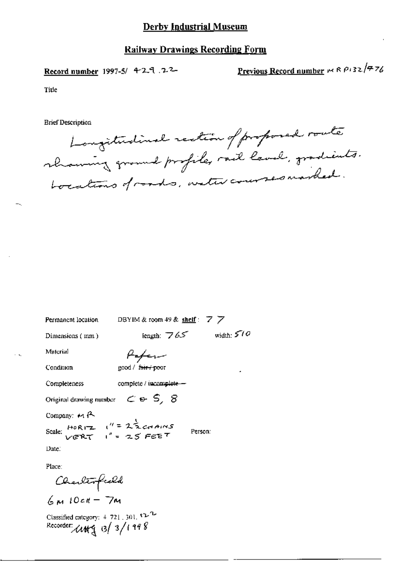#### **Railway Drawings Recording Form**

Record number 1997-5/ 4-2-9.2-

Previous Record number  $\approx$   $\frac{\beta}{32}/\frac{4}{76}$ 

Title

**Brief Description** 

Longitudinal rection of proposed route rhaming ground profile, rail land, gradients. Locations of roads, water courses marked.

| Permanent location                                                     | DBYIM & room 49 & shelf: $7\overline{7}$ |              |
|------------------------------------------------------------------------|------------------------------------------|--------------|
| Dimensions (mm)                                                        | length: $765$                            | width: $570$ |
| Material                                                               | Hafer                                    |              |
| Condition                                                              | good / f <del>air / po</del> or          |              |
| Completeness                                                           | complete / incomplete -                  |              |
| Original drawing number $\mathbb{C} \oplus \mathsf{S}$ , $\mathcal{S}$ |                                          |              |
| Company: $\bowtie$ $\curvearrowright$                                  |                                          |              |
| Scale: $HORITZ$ ("= $2\frac{1}{2}CHANS$<br>Scale: $VERT$ ("= $25 FEET$ |                                          | Person:      |
| Date:                                                                  |                                          |              |
| Place:                                                                 |                                          |              |
| Charlesfield                                                           |                                          |              |
| $6m 10cm - 7m$                                                         |                                          |              |
| Classified category: $4.721 \pm 301 \pm 12.7$                          |                                          |              |

Recorder:  $\angle UW = \frac{1}{3}/198$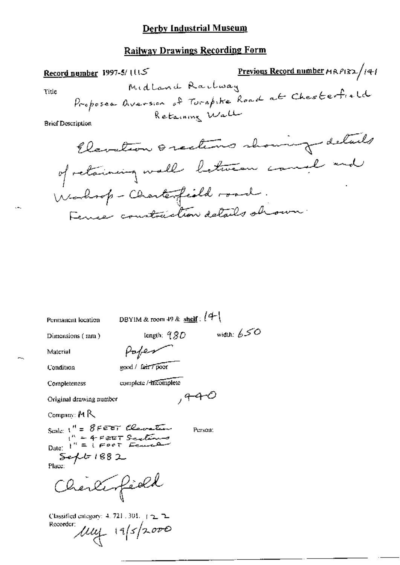#### Railway Drawings Recording Form

**Previous Record number**  $M \wedge P \wedge Z$  /141 Record number 1997-5/1115 Midland Railway Proposed Aversion of Turnpike Road at Chesterfield Title Retaining Wall **Brief Description** Elevation orections showing details of retaining wall between cause and Warloop-Charlesfield road. Fence construction details ob own.

| Permanent location                                                | DBYIM & room 49 & $\frac{\text{shelf}}{\text{shelf}}$ : $\left\{4\right\}$ |              |
|-------------------------------------------------------------------|----------------------------------------------------------------------------|--------------|
| Dimensions (mm)                                                   | length: $90$                                                               | width: $650$ |
| Material                                                          | Hapen                                                                      |              |
| Condition                                                         | good / fair / poor                                                         |              |
| Completeness                                                      | complete / incomplete                                                      |              |
| Original drawing number                                           |                                                                            |              |
| Company: $M R$                                                    |                                                                            |              |
| Scale: $1'' = 8$ FEET Clavation                                   |                                                                            | Person:      |
| Date: $1'' = 1$ Foot Ferminan                                     |                                                                            |              |
| $5 - 1882$<br>Place:                                              |                                                                            |              |
| Cherca field                                                      |                                                                            |              |
| Classified category: 4, 724, 301, $\pm$ $\sim$ $\pm$<br>Recorder: | $114 - 195/2000$                                                           |              |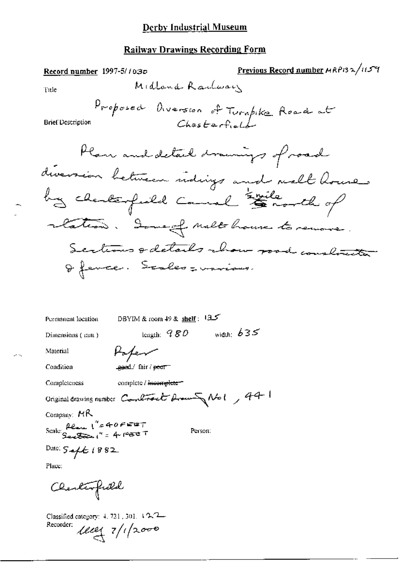### **Railway Drawings Recording Form**

| Previous Record number MRP132/1159<br>Record number 1997-5/1030                 |
|---------------------------------------------------------------------------------|
| Midland Raulway<br>Tule                                                         |
|                                                                                 |
| Proposed Diversion of Turapika Road at<br><b>Brief Description</b>              |
| than and detail drawings of road                                                |
| devenion between undings and malt house                                         |
| by charlespield Canal Emile of                                                  |
| rlation. Some of Malt house to remove.                                          |
| Sections & details whow pood constructor                                        |
| Defence. Scales=various.                                                        |
|                                                                                 |
|                                                                                 |
| DBYIM & room 49 & shelf: $135$<br>Permanent location                            |
| width: $635$<br>-length: $\mathcal{C}\mathcal{S}\mathcal{D}$<br>Dimensions (mm) |
| Poper<br>Material                                                               |
| Condition<br>.eed/fair/ <del>poor</del>                                         |
| Completeness<br>complete / incomplete-                                          |
| Original drawing number Contract from $N$ ol $/44$                              |
| Company: $MR$                                                                   |
| Scale: $\beta$ lan $i'' = 40FET$<br>Scale: $S = \frac{1}{2}$<br>Person:         |
| Date: $5.46$ (882)                                                              |
| Place:                                                                          |
| Chenterfield                                                                    |
| Classified category: $4.721$ , 301, $12.2$<br>Recorder:<br>ueq7/(2000           |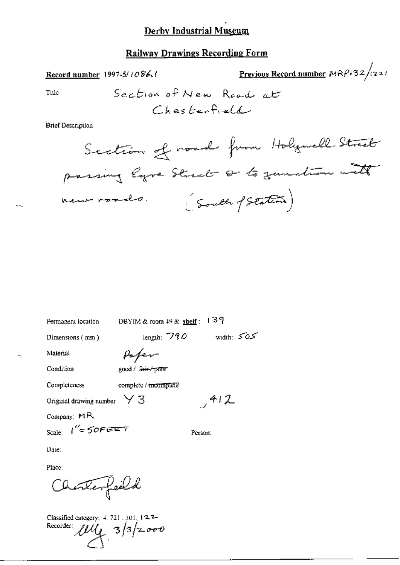### **Railway Drawings Recording Form**

Permanent location

DBYIM & room  $49$  & shelf:  $139$ 

Dimensions (mm)

length:  $790$ 

width:  $505$ 

 $412$ 

Material

 $\sim$ 

Poper

good / fair / poor

Condition

Completeness

complete / incomplete

Original drawing number  $\sqrt{3}$ 

Company:  $MR$ 

Scale:  $1'' = 50F$ EET

Person:

Date:

Place:

Charlesfeeld

Classified category: 4, 721, 301, 12-2- $\ell\ell\ell_{1}$  3/3/2000 Recorder: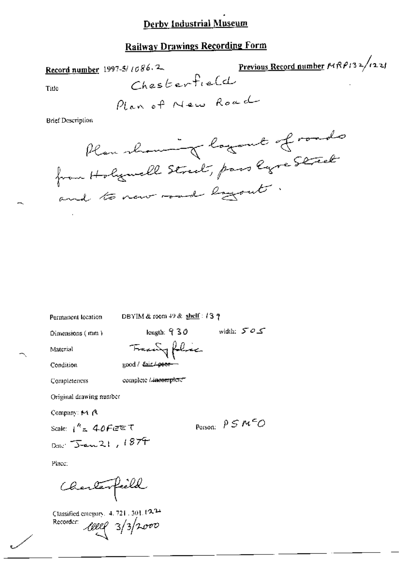### **Railway Drawings Recording Form**

Record number 1997-5/1086.2. Previous Record number 
$$
MRPI32/(22)
$$
  
The  $ChesLerfrac{d}{dt}$ 

Title

**Brief Description** 



Permanent location

DBYIM & room 49 & shelf:  $137$ 

width:  $505$ 

Dimensions (mm)

length:  $930$ Franky flie

Condition

Material

good / *fair* / peer-

Completeness

complete Lineomplete

Original drawing number

Company: M A

Person:  $\hat{p} \in \mathcal{M}^{\mathbb{Z}}\mathcal{O}$ Scale:  $1^k = 40$ feet Date:  $3-21,1874$ 

Place:

Charlesfield

Classified category, 4, 721, 301, 1224 leel 3/3/2000 Recorder: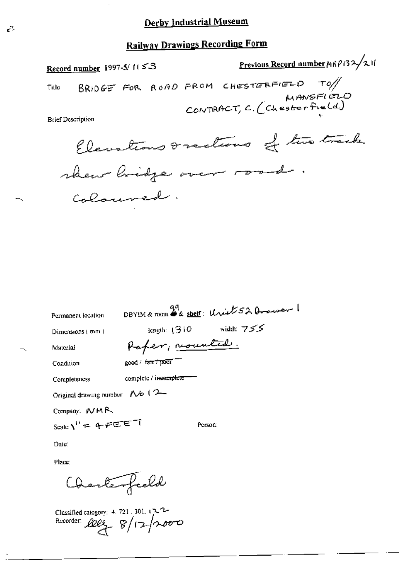Previous Record number MRP132/21 Record number 1997-5/11 53 BRIDGE FOR ROAD FROM CHESTERFIELD TO Title MANSFIELD<br>CONTRACT, C. (Chester field) **Brief Description** Elevations orections of two track shew bridge over road. Coloured.

| Permanent location            |                       | DBYIM & room $\overset{q\bar{q}}{\bullet}$ & shelf: Unit 52 Arawer 1 |
|-------------------------------|-----------------------|----------------------------------------------------------------------|
| Dimensions (mm)               | length: $310$         | width: 755                                                           |
| Material                      | Paper, mounted.       |                                                                      |
| Condition                     | good / fair / poor    |                                                                      |
| Completeness                  | complete / incomplete |                                                                      |
| Original drawing number No 12 |                       |                                                                      |
| Company: WMR                  |                       |                                                                      |
| Scale: $\lambda'' = 4.5555$   |                       | Person:                                                              |
| Date:                         |                       |                                                                      |
|                               |                       |                                                                      |

Place:

Charlesfield

Classified category: 4, 721, 301, 17-2-Recorder: 100g 8/12/2000

 $\mathbf{r}^{(i)}$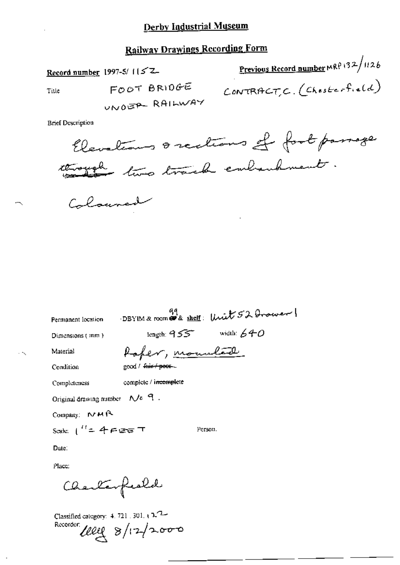### **Railway Drawings Recording Form**

Record number 1997-5/1152

Previous Record number MRP 132/1126 CONTRACTC. (Chesterfield)

Title

UNDER RAILWAY

FOOT BRIDGE

**Brief Description** 

Elevations orections of foot passage through two track embandment.

Coloured

DBYIM&room @ & shelf: Unit 52 Grower ! Permanent location length:  $955$  width:  $640$ Dimensions (mm) Paper, mountain Material good / fair / poor. Condition complete / incomplete Completeness Original drawing number  $\mathcal{N}^c$  9. Company: MMR Scale:  $1^{11}$  = 4 F ere T Person. Date: Place:

Charlespeald

Classified category:  $4.721$ . 301.  $\sqrt{2}$ Recorder Leely 8/12/2000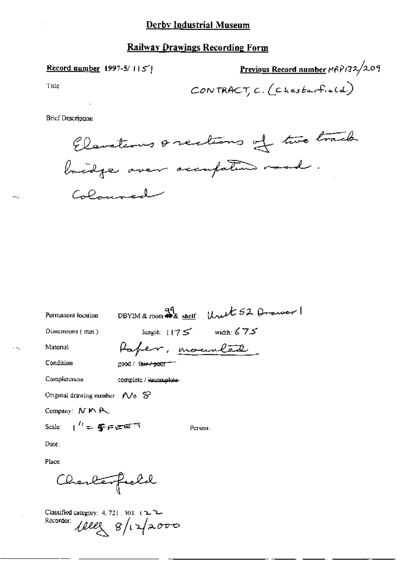Record number 1997-5/ $||S||$ 

Previous Record number MRP132/209

Tide

CONTRACT,  $c.$  (chasterfield)

**Brief Description** 

Elevations orections of two track bridge over accupation road. Coloured

| Permanent location                                          | DBYIM & room $\frac{qq}{2k}$ shelf: Unit 52 $\theta$ -ewer! |  |
|-------------------------------------------------------------|-------------------------------------------------------------|--|
| Dimensions $(mn)$                                           | length: $117 \leq$ width: 675                               |  |
| Material                                                    | Paper, mounted                                              |  |
| Condition                                                   | good / la <del>ir / pour</del>                              |  |
| Completeness                                                | complete / incomplete-                                      |  |
| Original drawing number $N_0$ $\mathcal{C}$                 |                                                             |  |
| Company: $N M M$                                            |                                                             |  |
| Scale: $1^{\prime\prime} = 5$ $\in$ $\in$ $\in$ $\in$ $\in$ | Person: I                                                   |  |
| Date:                                                       |                                                             |  |
| Place:                                                      |                                                             |  |
|                                                             | eterfield                                                   |  |

Classified category: 4, 721 : 301: 122 Recorder:  $t$ lles  $g(t)$  $\lambda$ 2000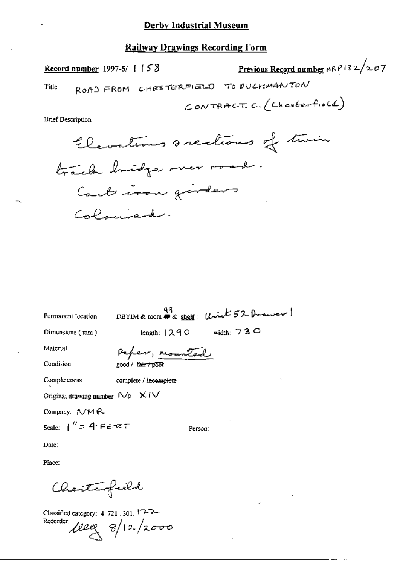Previous Record number  $nRP132/207$ Record number 1997-5/  $\{58$ ROAD FROM CHESTERFIELD TO DUCKMANTON CONTRACT. C. (Chesterfield)

**Brief Description** 

Title

Clevations oscilians of twin track bridge over road. Cart iron girders Coloured.

DBYIM & room  $\bullet$  & shelf:  $l$ wit 52 brawer ! Permanent Iccation length: 1290 width: 730 Dimensions (mm) Material Paper, nounted Condition good / fair / poor Completeness complete / incomplete Original drawing number  $N\phi \times (V$ Company: NMR

Scale:  $1'' = 4$  Fere T

Person:

Date:

Place:

Cherterfield

Classified category: 4-721, 301, 12-2-Recorder:  $12000$  8/12/2000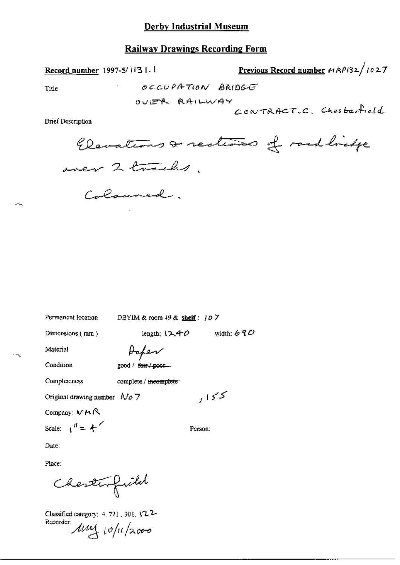#### **Railway Drawings Recording Form**

OCCUPATION BRIDGE

Record number 1997-5/1131.1

Previous Record number +1 AP132/1027

Title

OUER RAILWAY

CONTRACTIC Chesterfield

**Brief Description** 

Elevations & rections of road bridge ever 2 tracks.

Coloured.

Permanent location

DBYIM & room 49 & shelf: 107

Dimensions (mm)

length;  $12.40$  width: 690

كىرد

Person:

Material

Paper

Condition

Completeness

good / fair / poor...

complete / incomplete

Original drawing number  $N_{0}$  7

Company:  $M M R$ 

Scale:  $\mu'' = +$ 

Date:

Place:

Chesterfield

Classified category: 4, 721, 301, 122-Recorder un 10/11/2000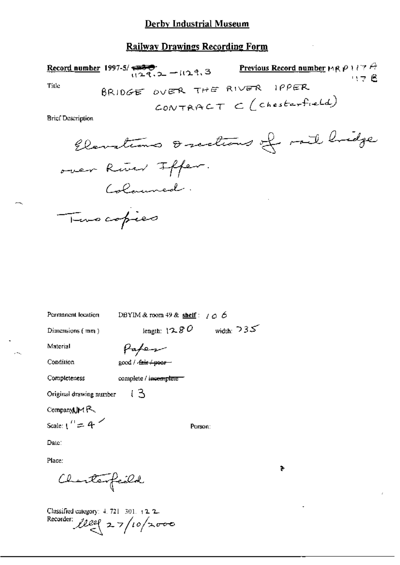#### **Railway Drawings Recording Form**

Record number 1997-5/ $\overbrace{A_1 \sim 2, 2}$  -  $(1, 2, 3)$  Previous Record number  $P \cup 7$   $\overrightarrow{A}$ りせ 色 BRIDGE OVER THE RIVER IPPER Title CONTRACT  $C$  (chesterfield)

**Brief Description** 

Elevations oractions of rail hidge over River Iffer. Colouned.

Turocofies

| Permanent location            | DBYIM & room 49 & shelf: $\frac{1}{2}$ 6 |
|-------------------------------|------------------------------------------|
| Dimensions $(mn)$             | width: $735$<br>length: 1280             |
| Material                      | Papen                                    |
| Condition                     | good / <del>fair / poor –</del>          |
| Completeness                  | complete / i <del>ncomplete =</del>      |
| Original drawing number       | د ا                                      |
| Company MR                    |                                          |
| Scale: $1^{\prime\prime} = 4$ | Person:                                  |
| Date:                         |                                          |
| Place:                        |                                          |
| Charterfield                  |                                          |

Classified category: 4, 721-301, 12-2. Recorder:  $lleqsl$  27/10/2000  $\ddot{\phantom{0}}$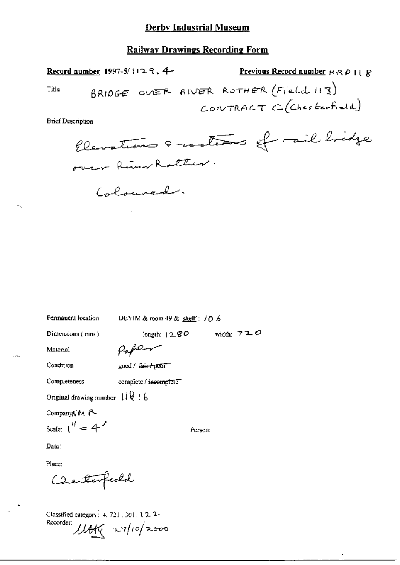Record number 1997-5/112  $9.4$ Previous Record number  $p \otimes p + p$ BRIDGE OVER RIVER ROTHER (FIELD 113) Title CONTRACT  $C(\text{C}h\text{-}s\text{-}f\text{-}t\text{-}d)$ 

**Brief Description** 

Elevations & rections of rail bridge over River Rother.

Paper

Coloured.

Permanent location DBYIM & room 49 & shelf: 10 6

Dimensions (mm)

length:  $12.80$  width:  $720$ 

Material Condition

good / fair+proof

Completeness complete / incomplete

Original drawing number  $11816$ 

Company NM R-

Scale:  $1'' = 4'$ 

Person:

Date:

Place:

Chartenfeeld

Classified category: 4, 721, 301, 1 2, 2-Recorder: 11646 27/10/2000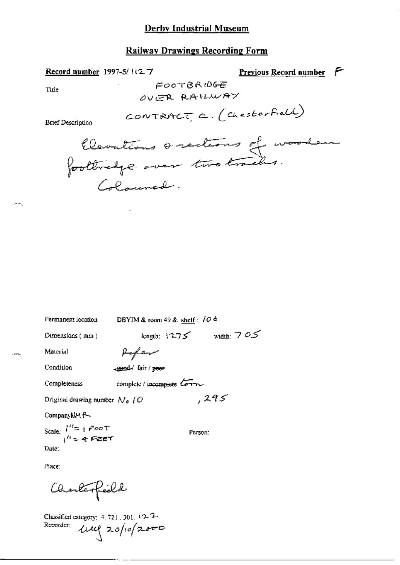| Record number $1997-5/112$                                                                                                                                                                                                                                                      |                                            | <b>Previous Record number</b> |
|---------------------------------------------------------------------------------------------------------------------------------------------------------------------------------------------------------------------------------------------------------------------------------|--------------------------------------------|-------------------------------|
| Tide                                                                                                                                                                                                                                                                            | FOOTBRIDGE<br>OVER RAILWAY                 |                               |
| <b>Brief Description</b>                                                                                                                                                                                                                                                        | CONTRACT $c$ . (Chesterfield)              |                               |
|                                                                                                                                                                                                                                                                                 | Elevations orections of wooden             |                               |
|                                                                                                                                                                                                                                                                                 |                                            |                               |
|                                                                                                                                                                                                                                                                                 |                                            |                               |
|                                                                                                                                                                                                                                                                                 |                                            |                               |
|                                                                                                                                                                                                                                                                                 |                                            |                               |
|                                                                                                                                                                                                                                                                                 |                                            |                               |
| Permanent location                                                                                                                                                                                                                                                              | DBYIM & room 49 & shelf: $106$             |                               |
| Dimensions (mm)                                                                                                                                                                                                                                                                 | length: $1275$ width: 7 05                 |                               |
| Material                                                                                                                                                                                                                                                                        | Inhem                                      |                               |
| Condition                                                                                                                                                                                                                                                                       | emad fair / peer                           |                               |
| Completeness                                                                                                                                                                                                                                                                    |                                            |                               |
| Original drawing number $N_o$ (O                                                                                                                                                                                                                                                | complete / incomplete $\overline{c}$ . 295 |                               |
| Company NM P                                                                                                                                                                                                                                                                    |                                            |                               |
| Scale: $\frac{1}{1}$ $\frac{1}{1}$ $\neq$ $\neq$ $\neq$ $\neq$ $\neq$ $\neq$ $\neq$ $\neq$ $\neq$ $\neq$ $\neq$ $\neq$ $\neq$ $\neq$ $\neq$ $\neq$ $\neq$ $\neq$ $\neq$ $\neq$ $\neq$ $\neq$ $\neq$ $\neq$ $\neq$ $\neq$ $\neq$ $\neq$ $\neq$ $\neq$ $\neq$ $\neq$ $\$<br>Date: | Person:                                    |                               |

Place:

 $\mathcal{A} = \mathcal{A}$ 

 $\overline{\phantom{a}}$ 

Charlespield

Classified category: 4.721.301.122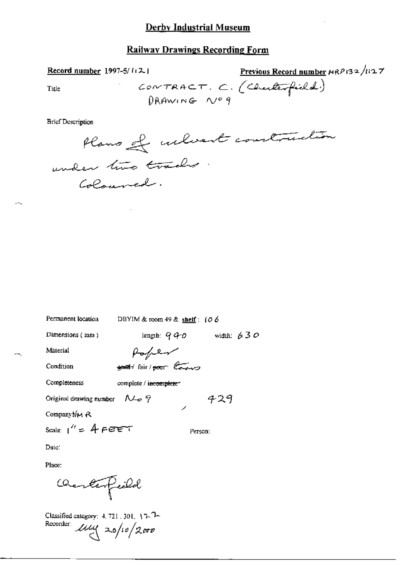#### **Railway Drawings Recording Form**

Record number 1997-5/1(2)

Previous Record number MRP132/1127

Title

CONTRACT. C. (Charlespield)

**Brief Description** 

Permanent location

Plans of wheat contraction under two trades Colouved.

length:  $990$  width:  $630$ Dimensions (mm) Poper Material genter fair/poor leave Condition Completeness complete / incomplete\* Original drawing number  $N=9$ 429 Company $M \wedge R$ Scale:  $1'' = 4$  FEET Person:

DBYIM & room 49 & shelf :  $106$ 

Date:

Place:

Ourterfield

Classified category: 4, 721, 301, 17-7-Recorder:  $\mu$  $\mu$  20/10/2000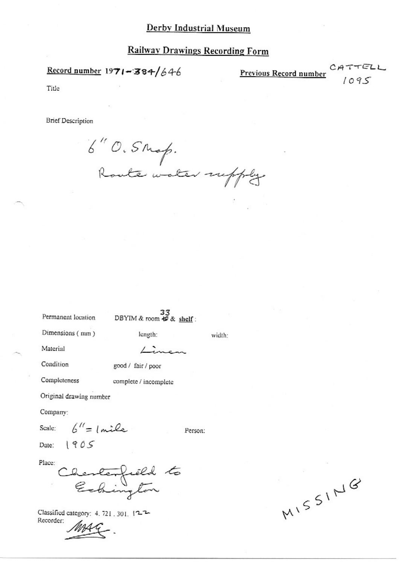Record number 1971-384/646

CATTELL Previous Record number  $1095$ 

Title

**Brief Description** 

6"O. Shap.<br>Route water supply

Permanent location

 $33$ <br>DBYIM & room  $49$  & shelf:

Linen

width:

Person:

Dimensions (mm)

Material

Condition

good / fair / poor

length:

Completeness

complete / incomplete

Original drawing number

Company:

 $6'' = l$ mile Scale:

 $1905$ Date:

Place:



Classified category: 4. 721. 301. 122 Recorder:

MISSING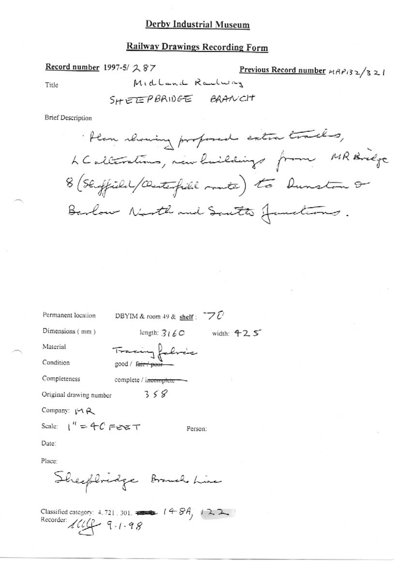#### **Railway Drawings Recording Form**

Record number 1997-5/ 287

Previous Record number  $\nu_1 \beta \rho_1 \beta_2 / \beta_2$  | Midland Raulway

Title

**Brief Description** 

· Flan rhowing professed extra tracks, LC alterations, now buildings from MR Bridge 8 (Shuffield/autofield mate) to dunston or Barlow North and South functions.

Permanent location DBYIM & room 49 & shelf :  $70$ Dimensions (mm) length:  $3160$  width: 425 Material Tracing fabric Condition good /  $f<sub>air</sub>+p<sub>eq</sub>$ Completeness complete / incomplete-358 Original drawing number Company:  $\mathfrak{g} \cap \mathsf{R}$ Scale:  $1'' = 40$  Ferr Person: Date: Place: Sheephridge Brouch Line

Classified category: 4.721.301. 2 148A, 122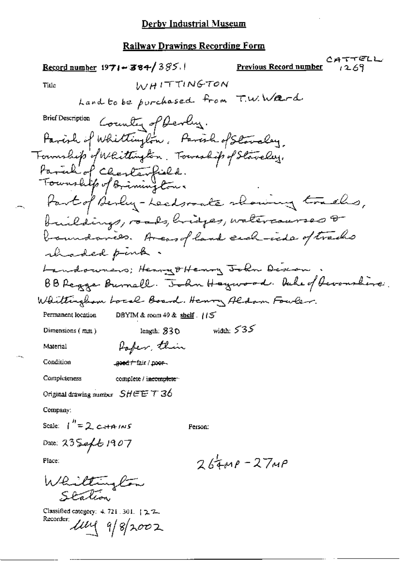### Railway Drawings Recording Form

|                                                                          | <u>Record number</u> 19 <b>フィーヌモイ/</b> 3 85 1       | Previous Record number 1269 | こみててせんし |
|--------------------------------------------------------------------------|-----------------------------------------------------|-----------------------------|---------|
| Title                                                                    | WHITTINGTON                                         |                             |         |
|                                                                          | Land to be purchased from T.W. Ward                 |                             |         |
|                                                                          | Brief Description Country of Devly.                 |                             |         |
|                                                                          | Parish of Whittington, Parish of Stovaley,          |                             |         |
|                                                                          | Township of Whittington. Towarhip of Staveley.      |                             |         |
|                                                                          |                                                     |                             |         |
|                                                                          | Paral of Charles field.<br>Township of Brining Cour |                             |         |
|                                                                          | Hart of Benky-Leedsroake rhowing tradhs,            |                             |         |
|                                                                          | buildings, roads, hidges, watercourses of           |                             |         |
|                                                                          | baundares. Areas of land each rede of tracks        |                             |         |
| rhaded pink.                                                             |                                                     |                             |         |
|                                                                          | Landowners; Henry & Henry John Discon               |                             |         |
|                                                                          | BB Regge Burnell. Todn Haywood. Duke of Revenshire. |                             |         |
|                                                                          | Whittinghom board Board. Henry Aldam Fowler.        |                             |         |
| Permanent location                                                       | DBYIM & room 49 & shelf . 115                       |                             |         |
| Dimensions (mm)                                                          | length: 830                                         | width: $535$                |         |
| Material                                                                 | Roper, their                                        |                             |         |
| Condition                                                                | <del>.good / "</del> fair / poo <del>r"</del> .     |                             |         |
| Completeness                                                             | complete / incomplete                               |                             |         |
|                                                                          | Original drawing number $SHEE$ $T$ 36               |                             |         |
| Company:                                                                 |                                                     |                             |         |
| Scale: $\int_0^h = 2 \cosh \mu s$                                        | Person:                                             |                             |         |
| Date: 235eft 1907                                                        |                                                     |                             |         |
| Place:                                                                   |                                                     | $264MP - 27MP$              |         |
| Whittington                                                              |                                                     |                             |         |
|                                                                          |                                                     |                             |         |
| Classified category: 4, 721, 301, $\uparrow$ 2.7.<br><b>Discoversion</b> |                                                     |                             |         |

Recorder  $\mu$  9/8/2002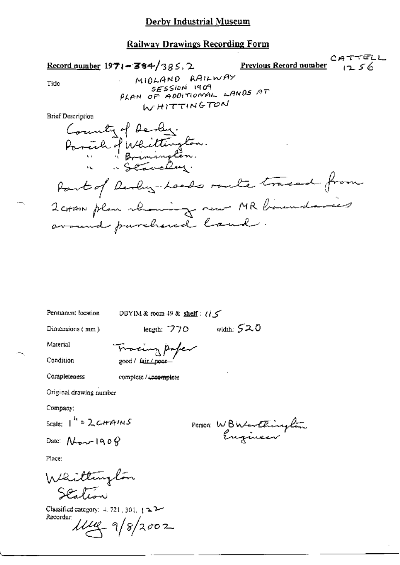Record number  $1971 - 384/385.2$ 

CATTELL **Previous Record number** 

Tide

MIOLAND RAILWAY SESSION 1909 PLAN OF ADDITIONAL LANDS AT WHITTINGTON

**Brief Description** 

County of Derby. Parcil of Whittington. Part of Revery-Loads rante traced from 2 corons plan showing new MR boundaries avound purchased land.

Permanent location

DBYIM & room 49 & shelf:  $\ell/\mathcal{S}$ 

Dimensions (mm)

length:  $770$  width:  $520$ macing paper

Condition

Material

Completeness

complete / incomplete

good / fair / noos-

Original drawing number

Company:

Scale: 
$$
1^{h} = 2cH4/m3
$$

Date:  $N_{\text{max}}$ 1908

Place:

Whittington Scation

Classified category: 4, 721, 301, 122 Recorder:  $1110$  9/8/2002

Person: WBWoodthington